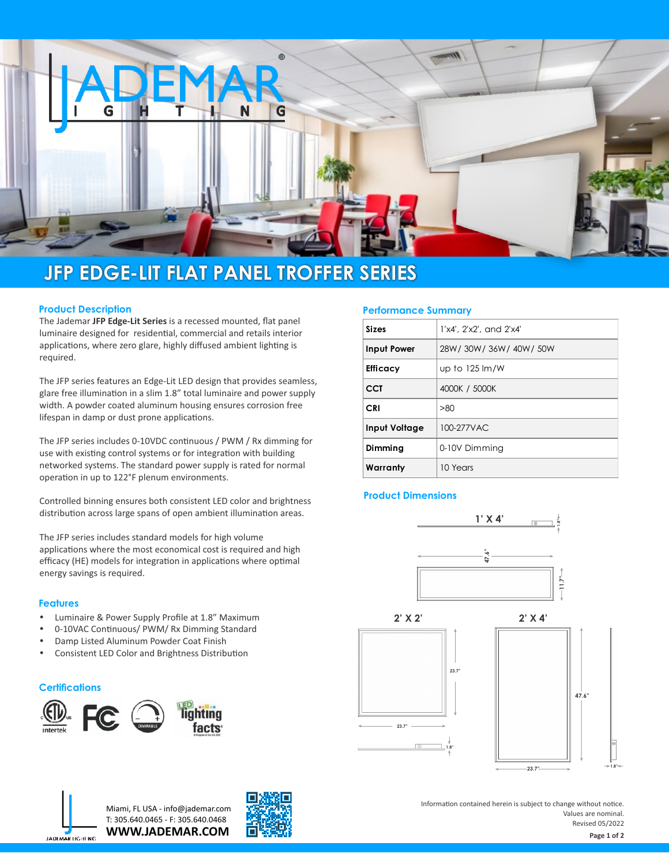

# **JFP EDGE-LIT FLAT PANEL TROFFER SERIES**

## **Product Description**

The Jademar **JFP Edge-Lit Series** is a recessed mounted, flat panel luminaire designed for residential, commercial and retails interior applications, where zero glare, highly diffused ambient lighting is required.

The JFP series features an Edge-Lit LED design that provides seamless, glare free illumination in a slim 1.8" total luminaire and power supply width. A powder coated aluminum housing ensures corrosion free lifespan in damp or dust prone applications.

The JFP series includes 0-10VDC continuous / PWM / Rx dimming for use with existing control systems or for integration with building networked systems. The standard power supply is rated for normal operation in up to 122°F plenum environments.

Controlled binning ensures both consistent LED color and brightness distribution across large spans of open ambient illumination areas.

The JFP series includes standard models for high volume applications where the most economical cost is required and high efficacy (HE) models for integration in applications where optimal energy savings is required.

## **Features**

- Luminaire & Power Supply Profile at 1.8" Maximum
- 0-10VAC Continuous/ PWM/ Rx Dimming Standard
- Damp Listed Aluminum Powder Coat Finish
- Consistent LED Color and Brightness Distribution

#### **Certifications**





**WWW.JADEMAR.COM** Miami, FL USA - info@jademar.com T: 305.640.0465 - F: 305.640.0468



#### **Performance Summary**

| <b>Sizes</b>         | 1'x4'. 2'x2', and 2'x4'           |  |  |  |  |
|----------------------|-----------------------------------|--|--|--|--|
| Input Power          | 28W/30W/36W/40W/50W               |  |  |  |  |
| <b>Efficacy</b>      | up to $125 \, \text{Im}/\text{W}$ |  |  |  |  |
| <b>CCT</b>           | 4000K / 5000K                     |  |  |  |  |
| <b>CRI</b>           | >80                               |  |  |  |  |
| <b>Input Voltage</b> | 100-277VAC                        |  |  |  |  |
| Dimming              | 0-10V Dimming                     |  |  |  |  |
| Warranty             | 10 Years                          |  |  |  |  |

## **Product Dimensions**



Information contained herein is subject to change without notice. Values are nominal. Revised 05/2022

**Page 1 of 2**